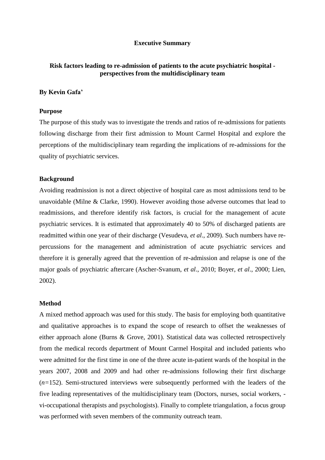### **Executive Summary**

# **Risk factors leading to re-admission of patients to the acute psychiatric hospital perspectives from the multidisciplinary team**

## **By Kevin Gafa'**

### **Purpose**

The purpose of this study was to investigate the trends and ratios of re-admissions for patients following discharge from their first admission to Mount Carmel Hospital and explore the perceptions of the multidisciplinary team regarding the implications of re-admissions for the quality of psychiatric services.

#### **Background**

Avoiding readmission is not a direct objective of hospital care as most admissions tend to be unavoidable (Milne & Clarke, 1990). However avoiding those adverse outcomes that lead to readmissions, and therefore identify risk factors, is crucial for the management of acute psychiatric services. It is estimated that approximately 40 to 50% of discharged patients are readmitted within one year of their discharge (Vesudeva, *et al*., 2009). Such numbers have repercussions for the management and administration of acute psychiatric services and therefore it is generally agreed that the prevention of re-admission and relapse is one of the major goals of psychiatric aftercare (Ascher-Svanum, *et al*., 2010; Boyer, *et al*., 2000; Lien, 2002).

#### **Method**

A mixed method approach was used for this study. The basis for employing both quantitative and qualitative approaches is to expand the scope of research to offset the weaknesses of either approach alone (Burns & Grove, 2001). Statistical data was collected retrospectively from the medical records department of Mount Carmel Hospital and included patients who were admitted for the first time in one of the three acute in-patient wards of the hospital in the years 2007, 2008 and 2009 and had other re-admissions following their first discharge (*n=*152). Semi-structured interviews were subsequently performed with the leaders of the five leading representatives of the multidisciplinary team (Doctors, nurses, social workers, vi-occupational therapists and psychologists). Finally to complete triangulation, a focus group was performed with seven members of the community outreach team.